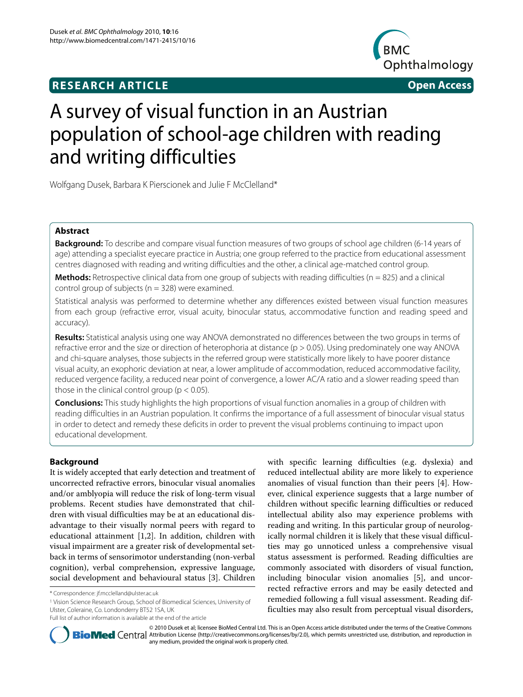# **RESEARCH ARTICLE Open Access**



# A survey of visual function in an Austrian population of school-age children with reading and writing difficulties

Wolfgang Dusek, Barbara K Pierscionek and Julie F McClelland\*

# **Abstract**

**Background:** To describe and compare visual function measures of two groups of school age children (6-14 years of age) attending a specialist eyecare practice in Austria; one group referred to the practice from educational assessment centres diagnosed with reading and writing difficulties and the other, a clinical age-matched control group.

**Methods:** Retrospective clinical data from one group of subjects with reading difficulties (n = 825) and a clinical control group of subjects ( $n = 328$ ) were examined.

Statistical analysis was performed to determine whether any differences existed between visual function measures from each group (refractive error, visual acuity, binocular status, accommodative function and reading speed and accuracy).

**Results:** Statistical analysis using one way ANOVA demonstrated no differences between the two groups in terms of refractive error and the size or direction of heterophoria at distance (p > 0.05). Using predominately one way ANOVA and chi-square analyses, those subjects in the referred group were statistically more likely to have poorer distance visual acuity, an exophoric deviation at near, a lower amplitude of accommodation, reduced accommodative facility, reduced vergence facility, a reduced near point of convergence, a lower AC/A ratio and a slower reading speed than those in the clinical control group ( $p < 0.05$ ).

**Conclusions:** This study highlights the high proportions of visual function anomalies in a group of children with reading difficulties in an Austrian population. It confirms the importance of a full assessment of binocular visual status in order to detect and remedy these deficits in order to prevent the visual problems continuing to impact upon educational development.

# **Background**

It is widely accepted that early detection and treatment of uncorrected refractive errors, binocular visual anomalies and/or amblyopia will reduce the risk of long-term visual problems. Recent studies have demonstrated that children with visual difficulties may be at an educational disadvantage to their visually normal peers with regard to educational attainment [[1,](#page-8-0)[2\]](#page-8-1). In addition, children with visual impairment are a greater risk of developmental setback in terms of sensorimotor understanding (non-verbal cognition), verbal comprehension, expressive language, social development and behavioural status [\[3](#page-8-2)]. Children

1 Vision Science Research Group, School of Biomedical Sciences, University of Ulster, Coleraine, Co. Londonderry BT52 1SA, UK

with specific learning difficulties (e.g. dyslexia) and reduced intellectual ability are more likely to experience anomalies of visual function than their peers [\[4](#page-8-3)]. However, clinical experience suggests that a large number of children without specific learning difficulties or reduced intellectual ability also may experience problems with reading and writing. In this particular group of neurologically normal children it is likely that these visual difficulties may go unnoticed unless a comprehensive visual status assessment is performed. Reading difficulties are commonly associated with disorders of visual function, including binocular vision anomalies [\[5](#page-8-4)], and uncorrected refractive errors and may be easily detected and remedied following a full visual assessment. Reading difficulties may also result from perceptual visual disorders,



© 2010 Dusek et al; licensee BioMed Central Ltd. This is an Open Access article distributed under the terms of the Creative Commons **BioMed** Central Attribution License (http://creativecommons.org/licenses/by/2.0), which permits unrestricted use, distribution, and reproduction in any medium, provided the original work is properly cited.

<sup>\*</sup> Correspondence: jf.mcclelland@ulster.ac.uk

Full list of author information is available at the end of the article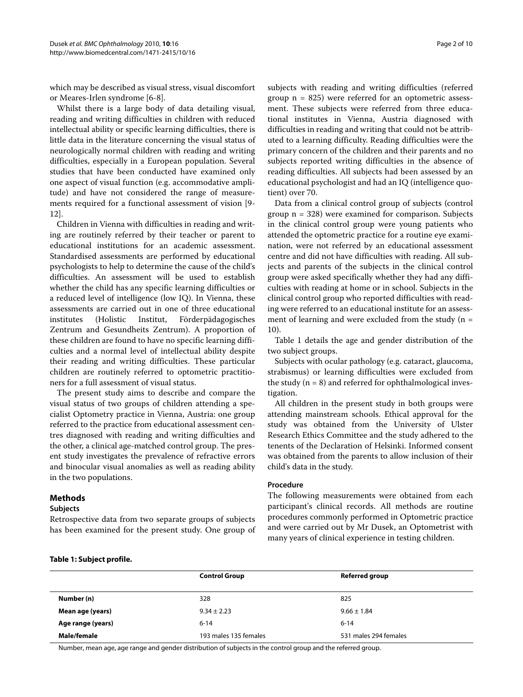which may be described as visual stress, visual discomfort or Meares-Irlen syndrome [[6-](#page-8-5)[8](#page-8-6)].

Whilst there is a large body of data detailing visual, reading and writing difficulties in children with reduced intellectual ability or specific learning difficulties, there is little data in the literature concerning the visual status of neurologically normal children with reading and writing difficulties, especially in a European population. Several studies that have been conducted have examined only one aspect of visual function (e.g. accommodative amplitude) and have not considered the range of measurements required for a functional assessment of vision [[9-](#page-8-7) [12](#page-8-8)].

Children in Vienna with difficulties in reading and writing are routinely referred by their teacher or parent to educational institutions for an academic assessment. Standardised assessments are performed by educational psychologists to help to determine the cause of the child's difficulties. An assessment will be used to establish whether the child has any specific learning difficulties or a reduced level of intelligence (low IQ). In Vienna, these assessments are carried out in one of three educational institutes (Holistic Institut, Förderpädagogisches Zentrum and Gesundheits Zentrum). A proportion of these children are found to have no specific learning difficulties and a normal level of intellectual ability despite their reading and writing difficulties. These particular children are routinely referred to optometric practitioners for a full assessment of visual status.

The present study aims to describe and compare the visual status of two groups of children attending a specialist Optometry practice in Vienna, Austria: one group referred to the practice from educational assessment centres diagnosed with reading and writing difficulties and the other, a clinical age-matched control group. The present study investigates the prevalence of refractive errors and binocular visual anomalies as well as reading ability in the two populations.

Retrospective data from two separate groups of subjects has been examined for the present study. One group of

# subjects with reading and writing difficulties (referred group  $n = 825$ ) were referred for an optometric assessment. These subjects were referred from three educational institutes in Vienna, Austria diagnosed with difficulties in reading and writing that could not be attributed to a learning difficulty. Reading difficulties were the primary concern of the children and their parents and no subjects reported writing difficulties in the absence of reading difficulties. All subjects had been assessed by an educational psychologist and had an IQ (intelligence quotient) over 70.

Data from a clinical control group of subjects (control group  $n = 328$ ) were examined for comparison. Subjects in the clinical control group were young patients who attended the optometric practice for a routine eye examination, were not referred by an educational assessment centre and did not have difficulties with reading. All subjects and parents of the subjects in the clinical control group were asked specifically whether they had any difficulties with reading at home or in school. Subjects in the clinical control group who reported difficulties with reading were referred to an educational institute for an assessment of learning and were excluded from the study  $(n =$ 10).

Table 1 details the age and gender distribution of the two subject groups.

Subjects with ocular pathology (e.g. cataract, glaucoma, strabismus) or learning difficulties were excluded from the study  $(n = 8)$  and referred for ophthalmological investigation.

All children in the present study in both groups were attending mainstream schools. Ethical approval for the study was obtained from the University of Ulster Research Ethics Committee and the study adhered to the tenents of the Declaration of Helsinki. Informed consent was obtained from the parents to allow inclusion of their child's data in the study.

# **Procedure**

The following measurements were obtained from each participant's clinical records. All methods are routine procedures commonly performed in Optometric practice and were carried out by Mr Dusek, an Optometrist with many years of clinical experience in testing children.

## **Table 1: Subject profile.**

**Methods Subjects**

|                   | <b>Control Group</b>  | <b>Referred group</b> |
|-------------------|-----------------------|-----------------------|
| Number (n)        | 328                   | 825                   |
| Mean age (years)  | $9.34 \pm 2.23$       | $9.66 \pm 1.84$       |
| Age range (years) | $6 - 14$              | $6 - 14$              |
| Male/female       | 193 males 135 females | 531 males 294 females |

Number, mean age, age range and gender distribution of subjects in the control group and the referred group.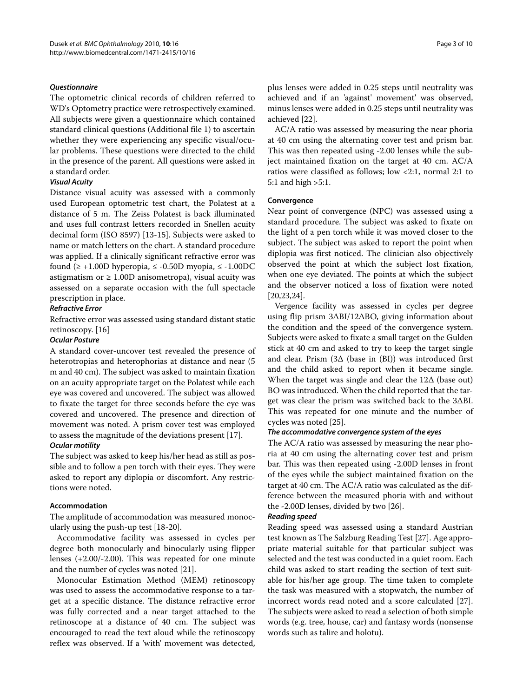# **Questionnaire**

The optometric clinical records of children referred to WD's Optometry practice were retrospectively examined. All subjects were given a questionnaire which contained standard clinical questions (Additional file [1](#page-8-9)) to ascertain whether they were experiencing any specific visual/ocular problems. These questions were directed to the child in the presence of the parent. All questions were asked in a standard order.

# **Visual Acuity**

Distance visual acuity was assessed with a commonly used European optometric test chart, the Polatest at a distance of 5 m. The Zeiss Polatest is back illuminated and uses full contrast letters recorded in Snellen acuity decimal form (ISO 8597) [[13](#page-8-10)-[15\]](#page-8-11). Subjects were asked to name or match letters on the chart. A standard procedure was applied. If a clinically significant refractive error was found ( $\ge$  +1.00D hyperopia,  $\le$  -0.50D myopia,  $\le$  -1.00DC astigmatism or  $\geq 1.00D$  anisometropa), visual acuity was assessed on a separate occasion with the full spectacle prescription in place.

# **Refractive Error**

Refractive error was assessed using standard distant static retinoscopy. [[16\]](#page-8-12)

# **Ocular Posture**

A standard cover-uncover test revealed the presence of heterotropias and heterophorias at distance and near (5 m and 40 cm). The subject was asked to maintain fixation on an acuity appropriate target on the Polatest while each eye was covered and uncovered. The subject was allowed to fixate the target for three seconds before the eye was covered and uncovered. The presence and direction of movement was noted. A prism cover test was employed to assess the magnitude of the deviations present [\[17](#page-8-13)].

# **Ocular motility**

The subject was asked to keep his/her head as still as possible and to follow a pen torch with their eyes. They were asked to report any diplopia or discomfort. Any restrictions were noted.

# **Accommodation**

The amplitude of accommodation was measured monocularly using the push-up test [\[18](#page-8-14)-[20\]](#page-8-15).

Accommodative facility was assessed in cycles per degree both monocularly and binocularly using flipper lenses (+2.00/-2.00). This was repeated for one minute and the number of cycles was noted [\[21](#page-8-16)].

Monocular Estimation Method (MEM) retinoscopy was used to assess the accommodative response to a target at a specific distance. The distance refractive error was fully corrected and a near target attached to the retinoscope at a distance of 40 cm. The subject was encouraged to read the text aloud while the retinoscopy reflex was observed. If a 'with' movement was detected, plus lenses were added in 0.25 steps until neutrality was achieved and if an 'against' movement' was observed, minus lenses were added in 0.25 steps until neutrality was achieved [\[22\]](#page-8-17).

AC/A ratio was assessed by measuring the near phoria at 40 cm using the alternating cover test and prism bar. This was then repeated using -2.00 lenses while the subject maintained fixation on the target at 40 cm. AC/A ratios were classified as follows; low <2:1, normal 2:1 to 5:1 and high >5:1.

# **Convergence**

Near point of convergence (NPC) was assessed using a standard procedure. The subject was asked to fixate on the light of a pen torch while it was moved closer to the subject. The subject was asked to report the point when diplopia was first noticed. The clinician also objectively observed the point at which the subject lost fixation, when one eye deviated. The points at which the subject and the observer noticed a loss of fixation were noted [[20,](#page-8-15)[23,](#page-8-18)[24\]](#page-8-19).

Vergence facility was assessed in cycles per degree using flip prism 3ΔBI/12ΔBO, giving information about the condition and the speed of the convergence system. Subjects were asked to fixate a small target on the Gulden stick at 40 cm and asked to try to keep the target single and clear. Prism (3Δ (base in (BI)) was introduced first and the child asked to report when it became single. When the target was single and clear the  $12\Delta$  (base out) BO was introduced. When the child reported that the target was clear the prism was switched back to the 3ΔBI. This was repeated for one minute and the number of cycles was noted [\[25](#page-8-20)].

# **The accommodative convergence system of the eyes**

The AC/A ratio was assessed by measuring the near phoria at 40 cm using the alternating cover test and prism bar. This was then repeated using -2.00D lenses in front of the eyes while the subject maintained fixation on the target at 40 cm. The AC/A ratio was calculated as the difference between the measured phoria with and without the -2.00D lenses, divided by two [[26\]](#page-8-21).

# **Reading speed**

Reading speed was assessed using a standard Austrian test known as The Salzburg Reading Test [[27\]](#page-8-22). Age appropriate material suitable for that particular subject was selected and the test was conducted in a quiet room. Each child was asked to start reading the section of text suitable for his/her age group. The time taken to complete the task was measured with a stopwatch, the number of incorrect words read noted and a score calculated [\[27](#page-8-22)]. The subjects were asked to read a selection of both simple words (e.g. tree, house, car) and fantasy words (nonsense words such as talire and holotu).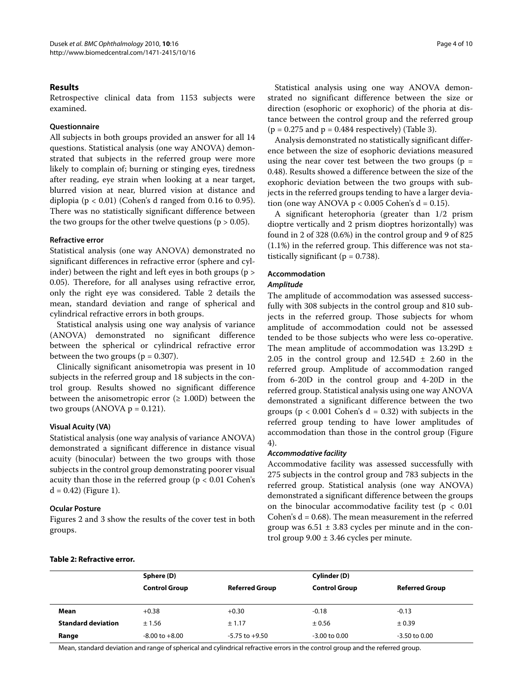# **Results**

Retrospective clinical data from 1153 subjects were examined.

## **Questionnaire**

All subjects in both groups provided an answer for all 14 questions. Statistical analysis (one way ANOVA) demonstrated that subjects in the referred group were more likely to complain of; burning or stinging eyes, tiredness after reading, eye strain when looking at a near target, blurred vision at near, blurred vision at distance and diplopia ( $p < 0.01$ ) (Cohen's d ranged from 0.16 to 0.95). There was no statistically significant difference between the two groups for the other twelve questions ( $p > 0.05$ ).

# **Refractive error**

Statistical analysis (one way ANOVA) demonstrated no significant differences in refractive error (sphere and cylinder) between the right and left eyes in both groups (p > 0.05). Therefore, for all analyses using refractive error, only the right eye was considered. Table 2 details the mean, standard deviation and range of spherical and cylindrical refractive errors in both groups.

Statistical analysis using one way analysis of variance (ANOVA) demonstrated no significant difference between the spherical or cylindrical refractive error between the two groups ( $p = 0.307$ ).

Clinically significant anisometropia was present in 10 subjects in the referred group and 18 subjects in the control group. Results showed no significant difference between the anisometropic error  $(\geq 1.00D)$  between the two groups (ANOVA  $p = 0.121$ ).

# **Visual Acuity (VA)**

Statistical analysis (one way analysis of variance ANOVA) demonstrated a significant difference in distance visual acuity (binocular) between the two groups with those subjects in the control group demonstrating poorer visual acuity than those in the referred group (p < 0.01 Cohen's  $d = 0.42$ ) (Figure [1](#page-4-0)).

# **Ocular Posture**

Figures [2](#page-4-1) and [3](#page-4-2) show the results of the cover test in both groups.

Statistical analysis using one way ANOVA demonstrated no significant difference between the size or direction (esophoric or exophoric) of the phoria at distance between the control group and the referred group  $(p = 0.275$  and  $p = 0.484$  respectively) (Table 3).

Analysis demonstrated no statistically significant difference between the size of esophoric deviations measured using the near cover test between the two groups ( $p =$ 0.48). Results showed a difference between the size of the exophoric deviation between the two groups with subjects in the referred groups tending to have a larger deviation (one way ANOVA  $p < 0.005$  Cohen's  $d = 0.15$ ).

A significant heterophoria (greater than 1/2 prism dioptre vertically and 2 prism dioptres horizontally) was found in 2 of 328 (0.6%) in the control group and 9 of 825 (1.1%) in the referred group. This difference was not statistically significant ( $p = 0.738$ ).

# **Accommodation**

# **Amplitude**

The amplitude of accommodation was assessed successfully with 308 subjects in the control group and 810 subjects in the referred group. Those subjects for whom amplitude of accommodation could not be assessed tended to be those subjects who were less co-operative. The mean amplitude of accommodation was  $13.29D \pm$ 2.05 in the control group and  $12.54D \pm 2.60$  in the referred group. Amplitude of accommodation ranged from 6-20D in the control group and 4-20D in the referred group. Statistical analysis using one way ANOVA demonstrated a significant difference between the two groups ( $p < 0.001$  Cohen's  $d = 0.32$ ) with subjects in the referred group tending to have lower amplitudes of accommodation than those in the control group (Figure [4\)](#page-5-0).

# **Accommodative facility**

Accommodative facility was assessed successfully with 275 subjects in the control group and 783 subjects in the referred group. Statistical analysis (one way ANOVA) demonstrated a significant difference between the groups on the binocular accommodative facility test ( $p < 0.01$ ) Cohen's  $d = 0.68$ ). The mean measurement in the referred group was  $6.51 \pm 3.83$  cycles per minute and in the control group 9.00 ± 3.46 cycles per minute.

#### **Table 2: Refractive error.**

|                           | Sphere (D)           |                       | Cylinder (D)         |                       |
|---------------------------|----------------------|-----------------------|----------------------|-----------------------|
|                           | <b>Control Group</b> | <b>Referred Group</b> | <b>Control Group</b> | <b>Referred Group</b> |
| Mean                      | $+0.38$              | $+0.30$               | $-0.18$              | $-0.13$               |
| <b>Standard deviation</b> | ± 1.56               |                       | ± 0.56               | ± 0.39                |
| Range                     | $-8.00$ to $+8.00$   | $-5.75$ to $+9.50$    | $-3.00$ to $0.00$    | $-3.50$ to $0.00$     |

Mean, standard deviation and range of spherical and cylindrical refractive errors in the control group and the referred group.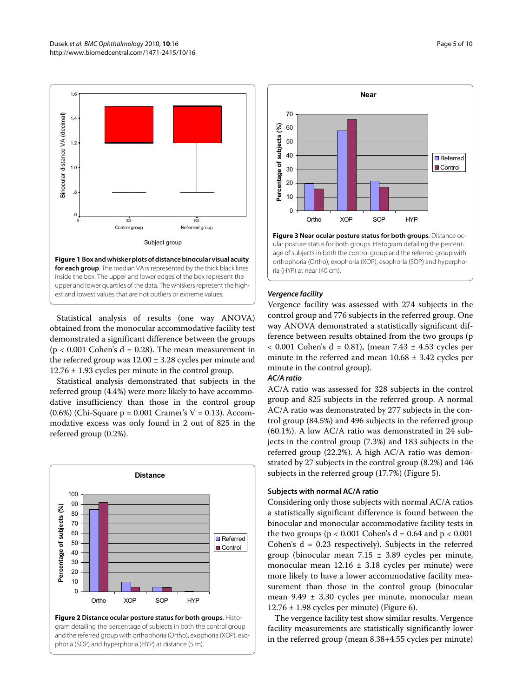<span id="page-4-0"></span>

inside the box. The upper and lower edges of the box represent the upper and lower quartiles of the data. The whiskers represent the highest and lowest values that are not outliers or extreme values.

Statistical analysis of results (one way ANOVA) obtained from the monocular accommodative facility test demonstrated a significant difference between the groups  $(p < 0.001$  Cohen's  $d = 0.28$ ). The mean measurement in the referred group was  $12.00 \pm 3.28$  cycles per minute and 12.76 ± 1.93 cycles per minute in the control group.

Statistical analysis demonstrated that subjects in the referred group (4.4%) were more likely to have accommodative insufficiency than those in the control group (0.6%) (Chi-Square  $p = 0.001$  Cramer's  $V = 0.13$ ). Accommodative excess was only found in 2 out of 825 in the referred group (0.2%).

<span id="page-4-1"></span>



<span id="page-4-2"></span>

**Figure 3 Near ocular posture status for both groups**. Distance ocular posture status for both groups. Histogram detailing the percentage of subjects in both the control group and the referred group with orthophoria (Ortho), exophoria (XOP), esophoria (SOP) and hyperphoria (HYP) at near (40 cm).

# **Vergence facility**

Vergence facility was assessed with 274 subjects in the control group and 776 subjects in the referred group. One way ANOVA demonstrated a statistically significant difference between results obtained from the two groups (p < 0.001 Cohen's d = 0.81), (mean 7.43 ± 4.53 cycles per minute in the referred and mean  $10.68 \pm 3.42$  cycles per minute in the control group).

# **AC/A ratio**

AC/A ratio was assessed for 328 subjects in the control group and 825 subjects in the referred group. A normal AC/A ratio was demonstrated by 277 subjects in the control group (84.5%) and 496 subjects in the referred group (60.1%). A low AC/A ratio was demonstrated in 24 subjects in the control group (7.3%) and 183 subjects in the referred group (22.2%). A high AC/A ratio was demonstrated by 27 subjects in the control group (8.2%) and 146 subjects in the referred group (17.7%) (Figure [5](#page-5-1)).

# **Subjects with normal AC/A ratio**

Considering only those subjects with normal AC/A ratios a statistically significant difference is found between the binocular and monocular accommodative facility tests in the two groups ( $p < 0.001$  Cohen's  $d = 0.64$  and  $p < 0.001$ Cohen's  $d = 0.23$  respectively). Subjects in the referred group (binocular mean  $7.15 \pm 3.89$  cycles per minute, monocular mean  $12.16 \pm 3.18$  cycles per minute) were more likely to have a lower accommodative facility measurement than those in the control group (binocular mean 9.49 ± 3.30 cycles per minute, monocular mean  $12.76 \pm 1.98$  cycles per minute) (Figure [6\)](#page-6-0).

The vergence facility test show similar results. Vergence facility measurements are statistically significantly lower in the referred group (mean 8.38+4.55 cycles per minute)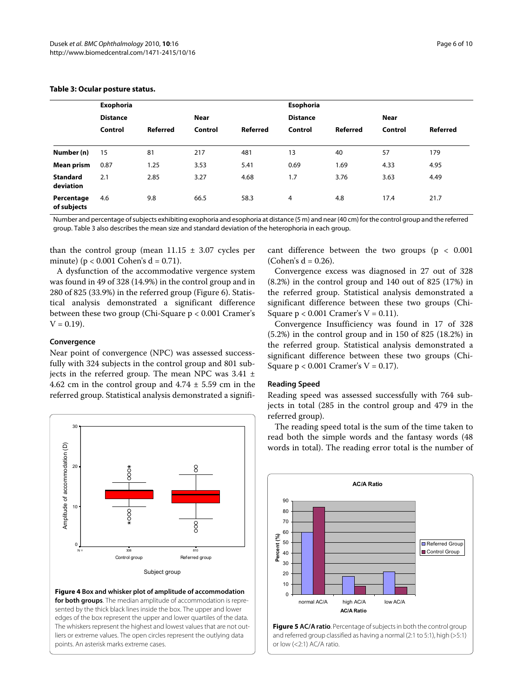|                              | <b>Exophoria</b> |                 |         |                 | Esophoria       |          |         |          |  |
|------------------------------|------------------|-----------------|---------|-----------------|-----------------|----------|---------|----------|--|
|                              | <b>Distance</b>  |                 | Near    |                 | <b>Distance</b> |          | Near    |          |  |
|                              | Control          | <b>Referred</b> | Control | <b>Referred</b> | Control         | Referred | Control | Referred |  |
| Number (n)                   | 15               | 81              | 217     | 481             | 13              | 40       | 57      | 179      |  |
| <b>Mean prism</b>            | 0.87             | 1.25            | 3.53    | 5.41            | 0.69            | 1.69     | 4.33    | 4.95     |  |
| <b>Standard</b><br>deviation | 2.1              | 2.85            | 3.27    | 4.68            | 1.7             | 3.76     | 3.63    | 4.49     |  |
| Percentage<br>of subjects    | 4.6              | 9.8             | 66.5    | 58.3            | 4               | 4.8      | 17.4    | 21.7     |  |

# **Table 3: Ocular posture status.**

Number and percentage of subjects exhibiting exophoria and esophoria at distance (5 m) and near (40 cm) for the control group and the referred group. Table 3 also describes the mean size and standard deviation of the heterophoria in each group.

than the control group (mean  $11.15 \pm 3.07$  cycles per minute) ( $p < 0.001$  Cohen's  $d = 0.71$ ).

A dysfunction of the accommodative vergence system was found in 49 of 328 (14.9%) in the control group and in 280 of 825 (33.9%) in the referred group (Figure [6\)](#page-6-0). Statistical analysis demonstrated a significant difference between these two group (Chi-Square p < 0.001 Cramer's  $V = 0.19$ .

# **Convergence**

Near point of convergence (NPC) was assessed successfully with 324 subjects in the control group and 801 subjects in the referred group. The mean NPC was  $3.41 \pm$ 4.62 cm in the control group and  $4.74 \pm 5.59$  cm in the referred group. Statistical analysis demonstrated a signifi-

<span id="page-5-0"></span>

**Figure 4 Box and whisker plot of amplitude of accommodation for both groups**. The median amplitude of accommodation is represented by the thick black lines inside the box. The upper and lower edges of the box represent the upper and lower quartiles of the data. The whiskers represent the highest and lowest values that are not outliers or extreme values. The open circles represent the outlying data points. An asterisk marks extreme cases.

cant difference between the two groups ( $p < 0.001$ )  $(Cohen's d = 0.26)$ .

Convergence excess was diagnosed in 27 out of 328 (8.2%) in the control group and 140 out of 825 (17%) in the referred group. Statistical analysis demonstrated a significant difference between these two groups (Chi-Square  $p < 0.001$  Cramer's  $V = 0.11$ ).

Convergence Insufficiency was found in 17 of 328 (5.2%) in the control group and in 150 of 825 (18.2%) in the referred group. Statistical analysis demonstrated a significant difference between these two groups (Chi-Square  $p < 0.001$  Cramer's  $V = 0.17$ ).

# **Reading Speed**

Reading speed was assessed successfully with 764 subjects in total (285 in the control group and 479 in the referred group).

The reading speed total is the sum of the time taken to read both the simple words and the fantasy words (48 words in total). The reading error total is the number of

<span id="page-5-1"></span>

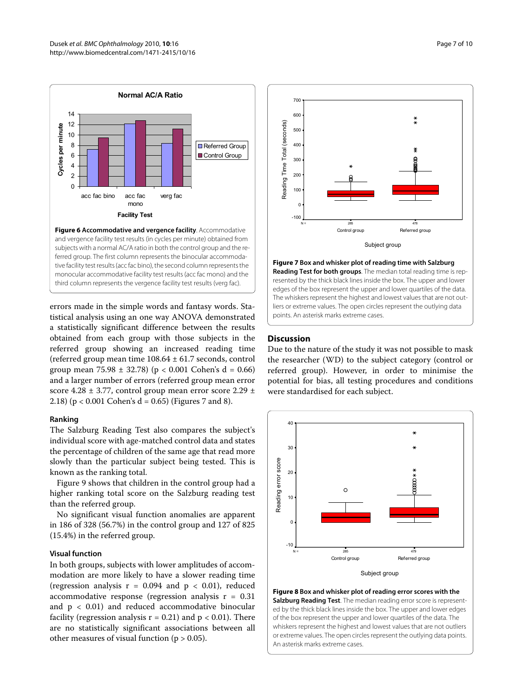<span id="page-6-0"></span>

and vergence facility test results (in cycles per minute) obtained from subjects with a normal AC/A ratio in both the control group and the referred group. The first column represents the binocular accommodative facility test results (acc fac bino), the second column represents the monocular accommodative facility test results (acc fac mono) and the third column represents the vergence facility test results (verg fac).

errors made in the simple words and fantasy words. Statistical analysis using an one way ANOVA demonstrated a statistically significant difference between the results obtained from each group with those subjects in the referred group showing an increased reading time (referred group mean time 108.64 ± 61.7 seconds, control group mean 75.98  $\pm$  32.78) (p < 0.001 Cohen's d = 0.66) and a larger number of errors (referred group mean error score 4.28 ± 3.77, control group mean error score 2.29 ± 2.1[8\)](#page-6-2) ( $p < 0.001$  Cohen's  $d = 0.65$ ) (Figures [7](#page-6-1) and 8).

# **Ranking**

The Salzburg Reading Test also compares the subject's individual score with age-matched control data and states the percentage of children of the same age that read more slowly than the particular subject being tested. This is known as the ranking total.

Figure [9](#page-7-0) shows that children in the control group had a higher ranking total score on the Salzburg reading test than the referred group.

No significant visual function anomalies are apparent in 186 of 328 (56.7%) in the control group and 127 of 825 (15.4%) in the referred group.

# **Visual function**

In both groups, subjects with lower amplitudes of accommodation are more likely to have a slower reading time (regression analysis  $r = 0.094$  and  $p < 0.01$ ), reduced accommodative response (regression analysis  $r = 0.31$ and  $p < 0.01$ ) and reduced accommodative binocular facility (regression analysis  $r = 0.21$ ) and  $p < 0.01$ ). There are no statistically significant associations between all other measures of visual function ( $p > 0.05$ ).

<span id="page-6-1"></span>

**Figure 7 Box and whisker plot of reading time with Salzburg Reading Test for both groups**. The median total reading time is represented by the thick black lines inside the box. The upper and lower edges of the box represent the upper and lower quartiles of the data. The whiskers represent the highest and lowest values that are not outliers or extreme values. The open circles represent the outlying data points. An asterisk marks extreme cases.

### **Discussion**

Due to the nature of the study it was not possible to mask the researcher (WD) to the subject category (control or referred group). However, in order to minimise the potential for bias, all testing procedures and conditions were standardised for each subject.

<span id="page-6-2"></span>

**Figure 8 Box and whisker plot of reading error scores with the Salzburg Reading Test**. The median reading error score is represented by the thick black lines inside the box. The upper and lower edges of the box represent the upper and lower quartiles of the data. The whiskers represent the highest and lowest values that are not outliers or extreme values. The open circles represent the outlying data points. An asterisk marks extreme cases.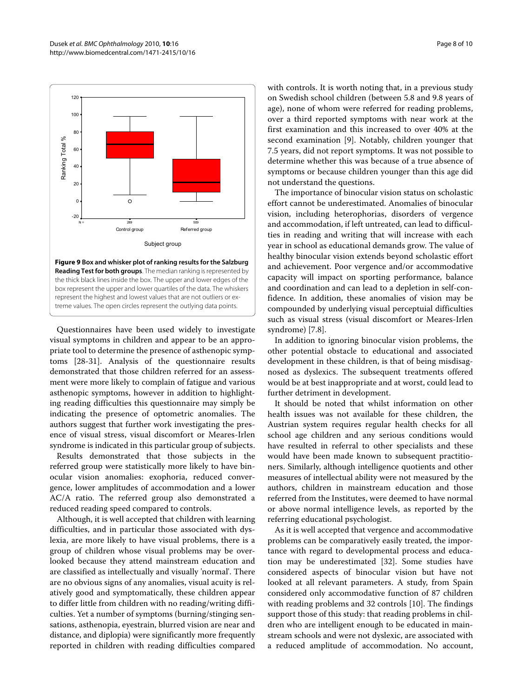<span id="page-7-0"></span>

the thick black lines inside the box. The upper and lower edges of the box represent the upper and lower quartiles of the data. The whiskers represent the highest and lowest values that are not outliers or extreme values. The open circles represent the outlying data points.

Questionnaires have been used widely to investigate visual symptoms in children and appear to be an appropriate tool to determine the presence of asthenopic symptoms [\[28](#page-9-0)-[31\]](#page-9-1). Analysis of the questionnaire results demonstrated that those children referred for an assessment were more likely to complain of fatigue and various asthenopic symptoms, however in addition to highlighting reading difficulties this questionnaire may simply be indicating the presence of optometric anomalies. The authors suggest that further work investigating the presence of visual stress, visual discomfort or Meares-Irlen syndrome is indicated in this particular group of subjects.

Results demonstrated that those subjects in the referred group were statistically more likely to have binocular vision anomalies: exophoria, reduced convergence, lower amplitudes of accommodation and a lower AC/A ratio. The referred group also demonstrated a reduced reading speed compared to controls.

Although, it is well accepted that children with learning difficulties, and in particular those associated with dyslexia, are more likely to have visual problems, there is a group of children whose visual problems may be overlooked because they attend mainstream education and are classified as intellectually and visually 'normal'. There are no obvious signs of any anomalies, visual acuity is relatively good and symptomatically, these children appear to differ little from children with no reading/writing difficulties. Yet a number of symptoms (burning/stinging sensations, asthenopia, eyestrain, blurred vision are near and distance, and diplopia) were significantly more frequently reported in children with reading difficulties compared with controls. It is worth noting that, in a previous study on Swedish school children (between 5.8 and 9.8 years of age), none of whom were referred for reading problems, over a third reported symptoms with near work at the first examination and this increased to over 40% at the second examination [\[9\]](#page-8-7). Notably, children younger that 7.5 years, did not report symptoms. It was not possible to determine whether this was because of a true absence of symptoms or because children younger than this age did not understand the questions.

The importance of binocular vision status on scholastic effort cannot be underestimated. Anomalies of binocular vision, including heterophorias, disorders of vergence and accommodation, if left untreated, can lead to difficulties in reading and writing that will increase with each year in school as educational demands grow. The value of healthy binocular vision extends beyond scholastic effort and achievement. Poor vergence and/or accommodative capacity will impact on sporting performance, balance and coordination and can lead to a depletion in self-confidence. In addition, these anomalies of vision may be compounded by underlying visual perceptuial difficulties such as visual stress (visual discomfort or Meares-Irlen syndrome) [7.8].

In addition to ignoring binocular vision problems, the other potential obstacle to educational and associated development in these children, is that of being misdisagnosed as dyslexics. The subsequent treatments offered would be at best inappropriate and at worst, could lead to further detriment in development.

It should be noted that whilst information on other health issues was not available for these children, the Austrian system requires regular health checks for all school age children and any serious conditions would have resulted in referral to other specialists and these would have been made known to subsequent practitioners. Similarly, although intelligence quotients and other measures of intellectual ability were not measured by the authors, children in mainstream education and those referred from the Institutes, were deemed to have normal or above normal intelligence levels, as reported by the referring educational psychologist.

As it is well accepted that vergence and accommodative problems can be comparatively easily treated, the importance with regard to developmental process and education may be underestimated [[32\]](#page-9-2). Some studies have considered aspects of binocular vision but have not looked at all relevant parameters. A study, from Spain considered only accommodative function of 87 children with reading problems and 32 controls [[10\]](#page-8-23). The findings support those of this study: that reading problems in children who are intelligent enough to be educated in mainstream schools and were not dyslexic, are associated with a reduced amplitude of accommodation. No account,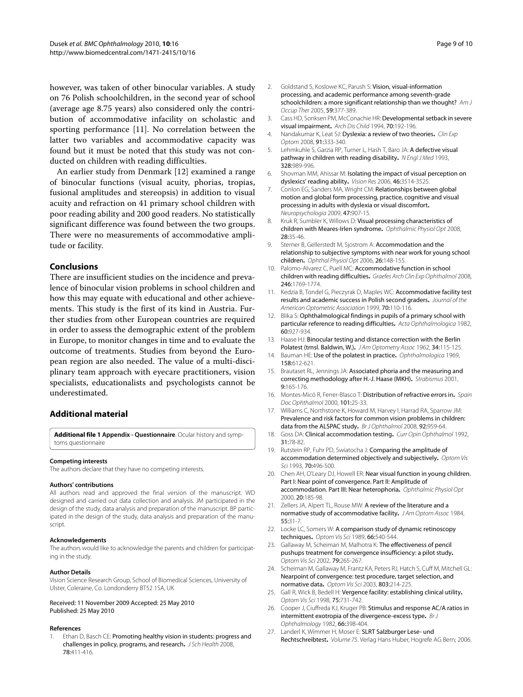however, was taken of other binocular variables. A study on 76 Polish schoolchildren, in the second year of school (average age 8.75 years) also considered only the contribution of accommodative infacility on scholastic and sporting performance [\[11](#page-8-24)]. No correlation between the latter two variables and accommodative capacity was found but it must be noted that this study was not conducted on children with reading difficulties.

An earlier study from Denmark [[12\]](#page-8-8) examined a range of binocular functions (visual acuity, phorias, tropias, fusional amplitudes and stereopsis) in addition to visual acuity and refraction on 41 primary school children with poor reading ability and 200 good readers. No statistically significant difference was found between the two groups. There were no measurements of accommodative amplitude or facility.

# **Conclusions**

There are insufficient studies on the incidence and prevalence of binocular vision problems in school children and how this may equate with educational and other achievements. This study is the first of its kind in Austria. Further studies from other European countries are required in order to assess the demographic extent of the problem in Europe, to monitor changes in time and to evaluate the outcome of treatments. Studies from beyond the European region are also needed. The value of a multi-disciplinary team approach with eyecare practitioners, vision specialists, educationalists and psychologists cannot be underestimated.

# **Additional material**

<span id="page-8-9"></span>**[Additional file 1](http://www.biomedcentral.com/content/supplementary/1471-2415-10-16-S1.DOC) Appendix - Questionnaire**. Ocular history and symptoms questionnaire

#### **Competing interests**

The authors declare that they have no competing interests.

#### **Authors' contributions**

All authors read and approved the final version of the manuscript. WD designed and carried out data collection and analysis. JM participated in the design of the study, data analysis and preparation of the manuscript. BP participated in the design of the study, data analysis and preparation of the manuscript.

#### **Acknowledgements**

The authors would like to acknowledge the parents and children for participating in the study.

#### **Author Details**

Vision Science Research Group, School of Biomedical Sciences, University of Ulster, Coleraine, Co. Londonderry BT52 1SA, UK

#### Received: 11 November 2009 Accepted: 25 May 2010 Published: 25 May 2010

#### **References**

<span id="page-8-0"></span>1. Ethan D, Basch CE: Promoting healthy vision in students: progress and challenges in policy, programs, and research**.** J Sch Health 2008, 78:411-416.

- <span id="page-8-1"></span>2. Goldstand S, Koslowe KC, Parush S: Vision, visual-information processing, and academic performance among seventh-grade schoolchildren: a more significant relationship than we thought? Am J Occup Ther 2005, 59:377-389.
- <span id="page-8-2"></span>3. Cass HD, Sonksen PM, McConachie HR: Developmental setback in severe visual impairment**.** Arch Dis Child 1994, 70:192-196.
- <span id="page-8-3"></span>4. Nandakumar K, Leat SJ: Dyslexia: a review of two theories**.** Clin Exp Optom 2008, 91:333-340.
- <span id="page-8-4"></span>5. Lehmkuhle S, Garzia RP, Turner L, Hash T, Baro JA: A defective visual pathway in children with reading disability**.** N Engl J Med 1993, 328:989-996.
- <span id="page-8-5"></span>6. Shovman MM, Ahissar M: Isolating the impact of visual perception on dyslexics' reading ability**[.](http://www.ncbi.nlm.nih.gov/entrez/query.fcgi?cmd=Retrieve&db=PubMed&dopt=Abstract&list_uids=16828838)** Vision Res 2006, 46:3514-3525.
- 7. Conlon EG, Sanders MA, Wright CM: Relationships between global motion and global form processing, practice, cognitive and visual processing in adults with dyslexia or visual discomfort**.** Neuropsychologia 2009, 47:907-15.
- <span id="page-8-6"></span>8. Kruk R, Sumbler K, Willows D: Visual processing characteristics of children with Meares-Irlen syndrome**.** Ophthalmic Physiol Opt 2008, 28:35-46.
- <span id="page-8-7"></span>9. Sterner B, Gellerstedt M, Sjostrom A: Accommodation and the relationship to subjective symptoms with near work for young school children**.** Ophthal Physiol Opt 2006, 26:148-155.
- <span id="page-8-23"></span>10. Palomo-Alvarez C, Puell MC: Accommodative function in school children with reading difficulties**.** Graefes Arch Clin Exp Ophthalmol 2008, 246:1769-1774.
- <span id="page-8-24"></span>11. Kedzia B, Tondel G, Pieczyrak D, Maples WC: Accommodative facility test results and academic success in Polish second graders**.** Journal of the American Optometric Association 1999, 70:110-116.
- <span id="page-8-8"></span>12. Blika S: Ophthalmological findings in pupils of a primary school with particular reference to reading difficulties**[.](http://www.ncbi.nlm.nih.gov/entrez/query.fcgi?cmd=Retrieve&db=PubMed&dopt=Abstract&list_uids=7170934)** Acta Ophthalmologica 1982, 60:927-934.
- <span id="page-8-10"></span>13. Haase HJ: Binocular testing and distance correction with the Berlin Polatest (trnsl. Baldwin, W.)**.** J Am Optometry Assoc 1962, 34:115-125.
- 14. Bauman HE: Use of the polatest in practice**.** Ophthalmologica 1969, 158:612-621.
- <span id="page-8-11"></span>15. Brautaset RL, Jennings JA: Associated phoria and the measuring and correcting methodology after H.-J. Haase (MKH)**.** Strabismus 2001, 9:165-176.
- <span id="page-8-12"></span>16. Montes-Micó R, Ferrer-Blasco T: Distribution of refractive errors in**.** Spain Doc Ophthalmol 2000, 101:25-33.
- <span id="page-8-13"></span>17. Williams C, Northstone K, Howard M, Harvey I, Harrad RA, Sparrow JM: Prevalence and risk factors for common vision problems in children: data from the ALSPAC study**.** Br J Ophthalmol 2008, 92:959-64.
- <span id="page-8-14"></span>18. Goss DA: Clinical accommodation testing**.** Curr Opin Ophthalmol 1992, 31:78-82.
- 19. Rutstein RP, Fuhr PD, Swiatocha J: Comparing the amplitude of accommodation determined objectively and subjectively**.** Optom Vis Sci 1993, 70:496-500.
- <span id="page-8-15"></span>20. Chen AH, O'Leary DJ, Howell ER: Near visual function in young children. Part I: Near point of convergence. Part II: Amplitude of accommodation. Part III: Near heterophoria**.** Ophthalmic Physiol Opt 2000, 20:185-98.
- <span id="page-8-16"></span>21. Zellers JA, Alpert TL, Rouse MW: A review of the literature and a normative study of accommodative facility**.** J Am Optom Assoc 1984, 55:31-7.
- <span id="page-8-17"></span>22. Locke LC, Somers W: A comparison study of dynamic retinoscopy techniques**[.](http://www.ncbi.nlm.nih.gov/entrez/query.fcgi?cmd=Retrieve&db=PubMed&dopt=Abstract&list_uids=2771345)** Optom Vis Sci 1989, 66:540-544.
- <span id="page-8-18"></span>23. Gallaway M, Scheiman M, Malhotra K: The effectiveness of pencil pushups treatment for convergence insufficiency: a pilot study**.** Optom Vis Sci 2002, 79:265-267.
- <span id="page-8-19"></span>24. Scheiman M, Gallaway M, Frantz KA, Peters RJ, Hatch S, Cuff M, Mitchell GL: Nearpoint of convergence: test procedure, target selection, and normative data**.** Optom Vis Sci 2003, 803:214-225.
- <span id="page-8-20"></span>25. Gall R, Wick B, Bedell H: Vergence facility: establishing clinical utility**.** Optom Vis Sci 1998, 75:731-742.
- <span id="page-8-21"></span>26. Cooper J, Ciuffreda KJ, Kruger PB: Stimulus and response AC/A ratios in intermittent exotropia of the divergence-excess type**.** Br J Ophthalmology 1982, 66:398-404.
- <span id="page-8-22"></span>27. Landerl K, Wimmer H, Moser E: SLRT Salzburger Lese- und Rechtschreibtest**.** Volume 75. Verlag Hans Huber, Hogrefe AG Bern; 2006.